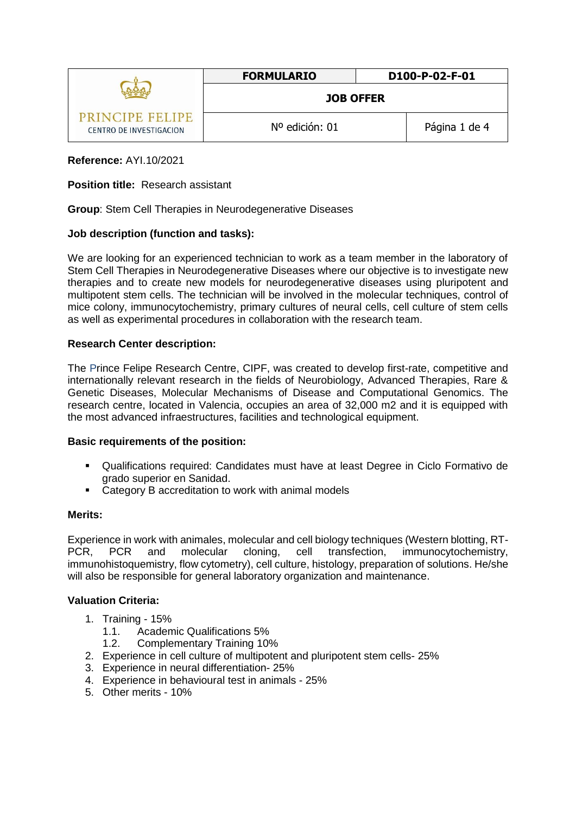|                                            | <b>FORMULARIO</b> | D100-P-02-F-01 |
|--------------------------------------------|-------------------|----------------|
|                                            | <b>JOB OFFER</b>  |                |
| PRINCIPE FELIPE<br>CENTRO DE INVESTIGACION | Nº edición: 01    | Página 1 de 4  |

# **Reference:** AYI.10/2021

## **Position title:** Research assistant

**Group**: Stem Cell Therapies in Neurodegenerative Diseases

### **Job description (function and tasks):**

We are looking for an experienced technician to work as a team member in the laboratory of Stem Cell Therapies in Neurodegenerative Diseases where our objective is to investigate new therapies and to create new models for neurodegenerative diseases using pluripotent and multipotent stem cells. The technician will be involved in the molecular techniques, control of mice colony, immunocytochemistry, primary cultures of neural cells, cell culture of stem cells as well as experimental procedures in collaboration with the research team.

### **Research Center description:**

The Prince Felipe Research Centre, CIPF, was created to develop first-rate, competitive and internationally relevant research in the fields of Neurobiology, Advanced Therapies, Rare & Genetic Diseases, Molecular Mechanisms of Disease and Computational Genomics. The research centre, located in Valencia, occupies an area of 32,000 m2 and it is equipped with the most advanced infraestructures, facilities and technological equipment.

#### **Basic requirements of the position:**

- Qualifications required: Candidates must have at least Degree in Ciclo Formativo de grado superior en Sanidad.
- Category B accreditation to work with animal models

#### **Merits:**

Experience in work with animales, molecular and cell biology techniques (Western blotting, RT-PCR, PCR and molecular cloning, cell transfection, immunocytochemistry, immunohistoquemistry, flow cytometry), cell culture, histology, preparation of solutions. He/she will also be responsible for general laboratory organization and maintenance.

# **Valuation Criteria:**

- 1. Training 15%
	- 1.1. Academic Qualifications 5%
	- 1.2. Complementary Training 10%
- 2. Experience in cell culture of multipotent and pluripotent stem cells- 25%
- 3. Experience in neural differentiation- 25%
- 4. Experience in behavioural test in animals 25%
- 5. Other merits 10%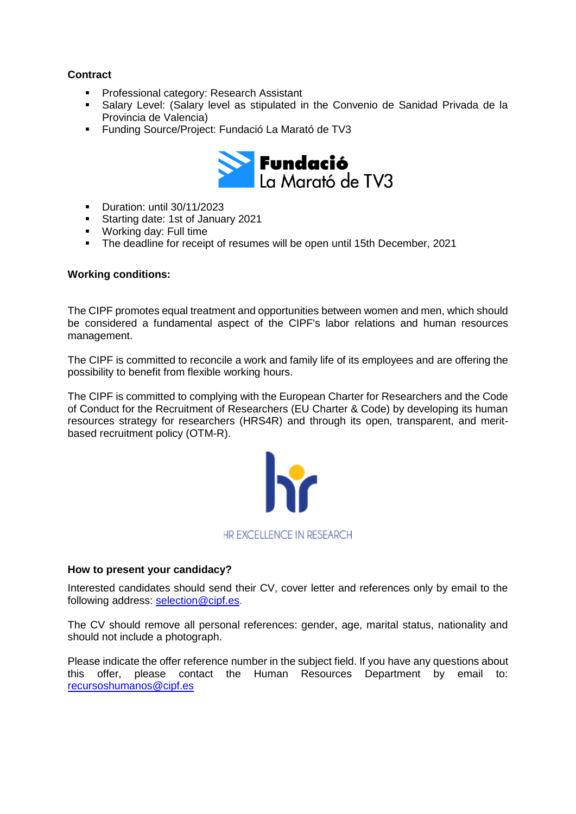# **Contract**

- Professional category: Research Assistant
- Salary Level: (Salary level as stipulated in the Convenio de Sanidad Privada de la Provincia de Valencia)
- Funding Source/Project: Fundació La Marató de TV3



- Duration: until 30/11/2023
- Starting date: 1st of January 2021
- **Working day: Full time**
- The deadline for receipt of resumes will be open until 15th December, 2021

# **Working conditions:**

The CIPF promotes equal treatment and opportunities between women and men, which should be considered a fundamental aspect of the CIPF's labor relations and human resources management.

The CIPF is committed to reconcile a work and family life of its employees and are offering the possibility to benefit from flexible working hours.

The CIPF is committed to complying with the European Charter for Researchers and the Code of Conduct for the Recruitment of Researchers (EU Charter & Code) by developing its human resources strategy for researchers (HRS4R) and through its open, transparent, and meritbased recruitment policy [\(OTM-R\)](https://euraxess.ec.europa.eu/europe/news/new-open-transparent-and-merit-based-recruitment-researchers-otm-r).



# **How to present your candidacy?**

Interested candidates should send their CV, cover letter and references only by email to the following address: [selection@cipf.es.](mailto:selection@cipf.es)

The CV should remove all personal references: gender, age, marital status, nationality and should not include a photograph.

Please indicate the offer reference number in the subject field. If you have any questions about this offer, please contact the Human Resources Department by email to: [recursoshumanos@cipf.es](mailto:recursoshumanos@cipf.es)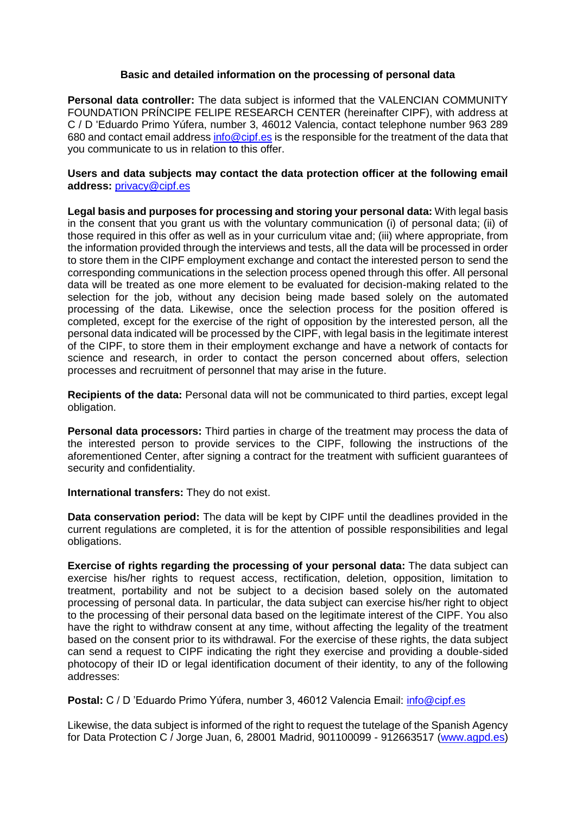# **Basic and detailed information on the processing of personal data**

**Personal data controller:** The data subject is informed that the VALENCIAN COMMUNITY FOUNDATION PRÍNCIPE FELIPE RESEARCH CENTER (hereinafter CIPF), with address at C / D 'Eduardo Primo Yúfera, number 3, 46012 Valencia, contact telephone number 963 289 680 and contact email addres[s info@cipf.es](mailto:info@cipf.es) is the responsible for the treatment of the data that you communicate to us in relation to this offer.

### **Users and data subjects may contact the data protection officer at the following email address:** [privacy@cipf.es](mailto:privacy@cipf.es)

**Legal basis and purposes for processing and storing your personal data:** With legal basis in the consent that you grant us with the voluntary communication (i) of personal data; (ii) of those required in this offer as well as in your curriculum vitae and; (iii) where appropriate, from the information provided through the interviews and tests, all the data will be processed in order to store them in the CIPF employment exchange and contact the interested person to send the corresponding communications in the selection process opened through this offer. All personal data will be treated as one more element to be evaluated for decision-making related to the selection for the job, without any decision being made based solely on the automated processing of the data. Likewise, once the selection process for the position offered is completed, except for the exercise of the right of opposition by the interested person, all the personal data indicated will be processed by the CIPF, with legal basis in the legitimate interest of the CIPF, to store them in their employment exchange and have a network of contacts for science and research, in order to contact the person concerned about offers, selection processes and recruitment of personnel that may arise in the future.

**Recipients of the data:** Personal data will not be communicated to third parties, except legal obligation.

**Personal data processors:** Third parties in charge of the treatment may process the data of the interested person to provide services to the CIPF, following the instructions of the aforementioned Center, after signing a contract for the treatment with sufficient guarantees of security and confidentiality.

**International transfers:** They do not exist.

**Data conservation period:** The data will be kept by CIPF until the deadlines provided in the current regulations are completed, it is for the attention of possible responsibilities and legal obligations.

**Exercise of rights regarding the processing of your personal data:** The data subject can exercise his/her rights to request access, rectification, deletion, opposition, limitation to treatment, portability and not be subject to a decision based solely on the automated processing of personal data. In particular, the data subject can exercise his/her right to object to the processing of their personal data based on the legitimate interest of the CIPF. You also have the right to withdraw consent at any time, without affecting the legality of the treatment based on the consent prior to its withdrawal. For the exercise of these rights, the data subject can send a request to CIPF indicating the right they exercise and providing a double-sided photocopy of their ID or legal identification document of their identity, to any of the following addresses:

Postal: C / D 'Eduardo Primo Yúfera, number 3, 46012 Valencia Email: *info@cipf.es* 

Likewise, the data subject is informed of the right to request the tutelage of the Spanish Agency for Data Protection C / Jorge Juan, 6, 28001 Madrid, 901100099 - 912663517 [\(www.agpd.es\)](http://www.agpd.es/)